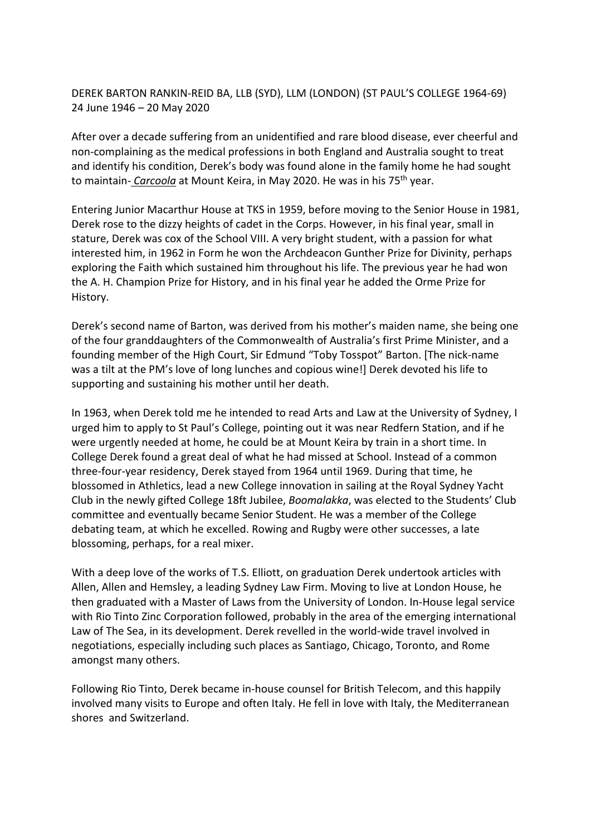## DEREK BARTON RANKIN-REID BA, LLB (SYD), LLM (LONDON) (ST PAUL'S COLLEGE 1964-69) 24 June 1946 – 20 May 2020

After over a decade suffering from an unidentified and rare blood disease, ever cheerful and non-complaining as the medical professions in both England and Australia sought to treat and identify his condition, Derek's body was found alone in the family home he had sought to maintain- *Carcoola* at Mount Keira, in May 2020. He was in his 75th year.

Entering Junior Macarthur House at TKS in 1959, before moving to the Senior House in 1981, Derek rose to the dizzy heights of cadet in the Corps. However, in his final year, small in stature, Derek was cox of the School VIII. A very bright student, with a passion for what interested him, in 1962 in Form he won the Archdeacon Gunther Prize for Divinity, perhaps exploring the Faith which sustained him throughout his life. The previous year he had won the A. H. Champion Prize for History, and in his final year he added the Orme Prize for History.

Derek's second name of Barton, was derived from his mother's maiden name, she being one of the four granddaughters of the Commonwealth of Australia's first Prime Minister, and a founding member of the High Court, Sir Edmund "Toby Tosspot" Barton. [The nick-name was a tilt at the PM's love of long lunches and copious wine!] Derek devoted his life to supporting and sustaining his mother until her death.

In 1963, when Derek told me he intended to read Arts and Law at the University of Sydney, I urged him to apply to St Paul's College, pointing out it was near Redfern Station, and if he were urgently needed at home, he could be at Mount Keira by train in a short time. In College Derek found a great deal of what he had missed at School. Instead of a common three-four-year residency, Derek stayed from 1964 until 1969. During that time, he blossomed in Athletics, lead a new College innovation in sailing at the Royal Sydney Yacht Club in the newly gifted College 18ft Jubilee, *Boomalakka*, was elected to the Students' Club committee and eventually became Senior Student. He was a member of the College debating team, at which he excelled. Rowing and Rugby were other successes, a late blossoming, perhaps, for a real mixer.

With a deep love of the works of T.S. Elliott, on graduation Derek undertook articles with Allen, Allen and Hemsley, a leading Sydney Law Firm. Moving to live at London House, he then graduated with a Master of Laws from the University of London. In-House legal service with Rio Tinto Zinc Corporation followed, probably in the area of the emerging international Law of The Sea, in its development. Derek revelled in the world-wide travel involved in negotiations, especially including such places as Santiago, Chicago, Toronto, and Rome amongst many others.

Following Rio Tinto, Derek became in-house counsel for British Telecom, and this happily involved many visits to Europe and often Italy. He fell in love with Italy, the Mediterranean shores and Switzerland.